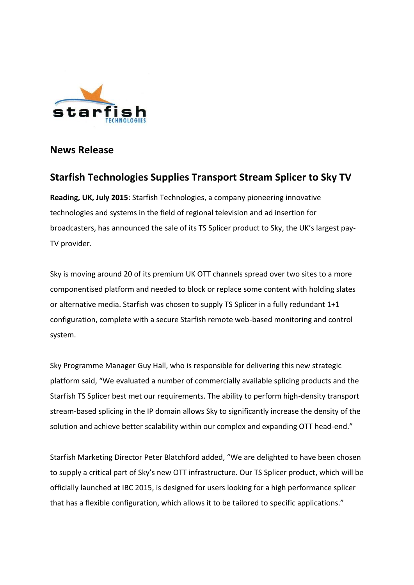

## **News Release**

# **Starfish Technologies Supplies Transport Stream Splicer to Sky TV**

**Reading, UK, July 2015**: Starfish Technologies, a company pioneering innovative technologies and systems in the field of regional television and ad insertion for broadcasters, has announced the sale of its TS Splicer product to Sky, the UK's largest pay-TV provider.

Sky is moving around 20 of its premium UK OTT channels spread over two sites to a more componentised platform and needed to block or replace some content with holding slates or alternative media. Starfish was chosen to supply TS Splicer in a fully redundant 1+1 configuration, complete with a secure Starfish remote web-based monitoring and control system.

Sky Programme Manager Guy Hall, who is responsible for delivering this new strategic platform said, "We evaluated a number of commercially available splicing products and the Starfish TS Splicer best met our requirements. The ability to perform high-density transport stream-based splicing in the IP domain allows Sky to significantly increase the density of the solution and achieve better scalability within our complex and expanding OTT head-end."

Starfish Marketing Director Peter Blatchford added, "We are delighted to have been chosen to supply a critical part of Sky's new OTT infrastructure. Our TS Splicer product, which will be officially launched at IBC 2015, is designed for users looking for a high performance splicer that has a flexible configuration, which allows it to be tailored to specific applications."